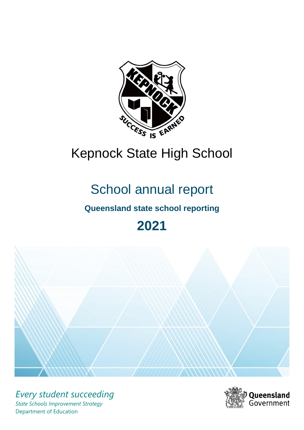

# Kepnock State High School

# School annual report

# **Queensland state school reporting**

# **2021**



*Every student succeeding State Schools Improvement Strategy* Department of Education

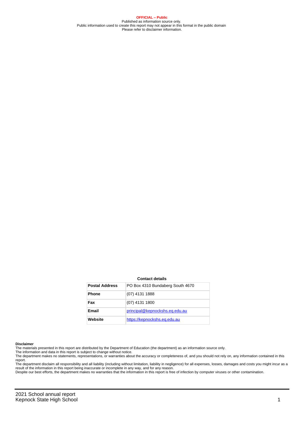**OFFICIAL – Public** Published as information source only. Public information used to create this report may not appear in this format in the public domain Please refer to disclaimer information.

#### **Contact details**

| <b>Postal Address</b> | PO Box 4310 Bundaberg South 4670 |
|-----------------------|----------------------------------|
| <b>Phone</b>          | (07) 4131 1888                   |
| Fax                   | (07) 4131 1800                   |
| <b>Email</b>          | principal@kepnockshs.eq.edu.au   |
| Website               | https://kepnockshs.eq.edu.au     |

#### **Disclaimer**

The materials presented in this report are distributed by the Department of Education (the department) as an information source only.

The information and data in this report is subject to change without notice.<br>The department makes no statements, representations, or warranties about the accuracy or completeness of, and you should not rely on, any informa report. The department disclaim all responsibility and all liability (including without limitation, liability in negligence) for all expenses, losses, damages and costs you might incur as a

result of the information in this report being inaccurate or incomplete in any way, and for any reason.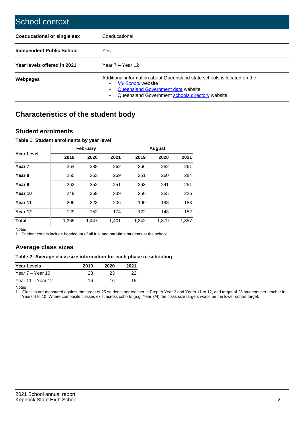| School context                     |                                                                                                                                                                                                   |
|------------------------------------|---------------------------------------------------------------------------------------------------------------------------------------------------------------------------------------------------|
| <b>Coeducational or single sex</b> | Coeducational                                                                                                                                                                                     |
| Independent Public School          | <b>Yes</b>                                                                                                                                                                                        |
| Year levels offered in 2021        | Year $7 -$ Year 12                                                                                                                                                                                |
| Webpages                           | Additional information about Queensland state schools is located on the:<br>My School website<br>٠<br>Queensland Government data website<br>Queensland Government schools directory website.<br>٠ |

# **Characteristics of the student body**

## **Student enrolments**

### **Table 1: Student enrolments by year level**

|                   |       | <b>February</b> |       |       | <b>August</b> |       |
|-------------------|-------|-----------------|-------|-------|---------------|-------|
| Year Level        | 2019  | 2020            | 2021  | 2019  | 2020          | 2021  |
| Year <sub>7</sub> | 264   | 288             | 262   | 266   | 282           | 261   |
| Year <sub>8</sub> | 255   | 263             | 269   | 251   | 260           | 284   |
| Year 9            | 262   | 252             | 251   | 263   | 241           | 251   |
| Year 10           | 249   | 269             | 239   | 250   | 255           | 226   |
| Year 11           | 206   | 223             | 206   | 190   | 198           | 183   |
| Year 12           | 129   | 152             | 174   | 122   | 143           | 152   |
| <b>Total</b>      | 1,365 | 1,447           | 1,401 | 1,342 | 1,379         | 1,357 |

Notes

1. Student counts include headcount of all full- and part-time students at the school.

## **Average class sizes**

#### **Table 2: Average class size information for each phase of schooling**

| <b>Year Levels</b> | 2019 | 2020 | 2021 |
|--------------------|------|------|------|
| Year 7 – Year 10   | 23   | 23   | つつ   |
| Year 11 – Year 12  | 16   | 16   | 15   |

Notes

1. Classes are measured against the target of 25 students per teacher in Prep to Year 3 and Years 11 to 12, and target of 28 students per teacher in Years 4 to 10. Where composite classes exist across cohorts (e.g. Year 3/4) the class size targets would be the lower cohort target.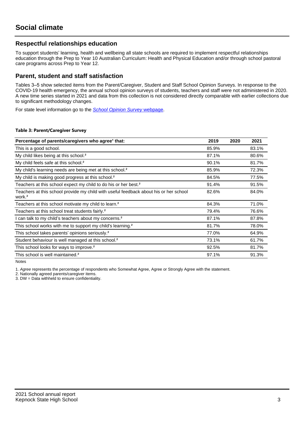## **Respectful relationships education**

To support students' learning, health and wellbeing all state schools are required to implement respectful relationships education through the Prep to Year 10 Australian Curriculum: Health and Physical Education and/or through school pastoral care programs across Prep to Year 12.

## **Parent, student and staff satisfaction**

Tables 3–5 show selected items from the Parent/Caregiver, Student and Staff School Opinion Surveys. In response to the COVID-19 health emergency, the annual school opinion surveys of students, teachers and staff were not administered in 2020. A new time series started in 2021 and data from this collection is not considered directly comparable with earlier collections due to significant methodology changes.

For state level information go to the **[School Opinion Survey](https://qed.qld.gov.au/publications/reports/statistics/schooling/schools/schoolopinionsurvey) webpage**.

#### **Table 3: Parent/Caregiver Survey**

| Percentage of parents/caregivers who agree <sup>1</sup> that:                                               | 2019  | 2020 | 2021  |
|-------------------------------------------------------------------------------------------------------------|-------|------|-------|
| This is a good school.                                                                                      | 85.9% |      | 83.1% |
| My child likes being at this school. <sup>2</sup>                                                           | 87.1% |      | 80.6% |
| My child feels safe at this school. <sup>2</sup>                                                            | 90.1% |      | 81.7% |
| My child's learning needs are being met at this school. <sup>2</sup>                                        | 85.9% |      | 72.3% |
| My child is making good progress at this school. <sup>2</sup>                                               | 84.5% |      | 77.5% |
| Teachers at this school expect my child to do his or her best. <sup>2</sup>                                 | 91.4% |      | 91.5% |
| Teachers at this school provide my child with useful feedback about his or her school<br>work. <sup>2</sup> | 82.6% |      | 84.0% |
| Teachers at this school motivate my child to learn. <sup>2</sup>                                            | 84.3% |      | 71.0% |
| Teachers at this school treat students fairly. <sup>2</sup>                                                 | 79.4% |      | 76.6% |
| can talk to my child's teachers about my concerns. <sup>2</sup>                                             | 87.1% |      | 87.8% |
| This school works with me to support my child's learning. <sup>2</sup>                                      | 81.7% |      | 78.0% |
| This school takes parents' opinions seriously. <sup>2</sup>                                                 | 77.0% |      | 64.9% |
| Student behaviour is well managed at this school. <sup>2</sup>                                              | 73.1% |      | 61.7% |
| This school looks for ways to improve. <sup>2</sup>                                                         | 92.5% |      | 81.7% |
| This school is well maintained. <sup>2</sup>                                                                | 97.1% |      | 91.3% |

Notes

1. Agree represents the percentage of respondents who Somewhat Agree, Agree or Strongly Agree with the statement.

2. Nationally agreed parents/caregiver items.

3. DW = Data withheld to ensure confidentiality.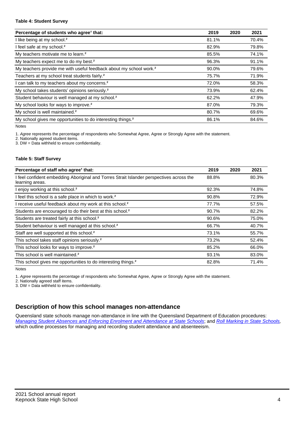#### **Table 4: Student Survey**

| Percentage of students who agree <sup>1</sup> that:                            | 2019  | 2020 | 2021  |
|--------------------------------------------------------------------------------|-------|------|-------|
| I like being at my school. <sup>2</sup>                                        | 81.1% |      | 70.4% |
| I feel safe at my school. <sup>2</sup>                                         | 82.9% |      | 79.8% |
| My teachers motivate me to learn. <sup>2</sup>                                 | 85.5% |      | 74.1% |
| My teachers expect me to do my best. <sup>2</sup>                              | 96.3% |      | 91.1% |
| My teachers provide me with useful feedback about my school work. <sup>2</sup> | 90.0% |      | 79.6% |
| Teachers at my school treat students fairly. <sup>2</sup>                      | 75.7% |      | 71.9% |
| I can talk to my teachers about my concerns. <sup>2</sup>                      | 72.0% |      | 58.3% |
| My school takes students' opinions seriously. <sup>2</sup>                     | 73.9% |      | 62.4% |
| Student behaviour is well managed at my school. <sup>2</sup>                   | 62.2% |      | 47.9% |
| My school looks for ways to improve. <sup>2</sup>                              | 87.0% |      | 79.3% |
| My school is well maintained. <sup>2</sup>                                     | 80.7% |      | 69.6% |
| My school gives me opportunities to do interesting things. <sup>2</sup>        | 86.1% |      | 84.6% |

Notes

1. Agree represents the percentage of respondents who Somewhat Agree, Agree or Strongly Agree with the statement.

2. Nationally agreed student items.

3. DW = Data withheld to ensure confidentiality.

### **Table 5: Staff Survey**

| Percentage of staff who agree <sup>1</sup> that:                                                            | 2019  | 2020 | 2021  |
|-------------------------------------------------------------------------------------------------------------|-------|------|-------|
| I feel confident embedding Aboriginal and Torres Strait Islander perspectives across the<br>learning areas. | 88.8% |      | 80.3% |
| I enjoy working at this school. <sup>2</sup>                                                                | 92.3% |      | 74.8% |
| I feel this school is a safe place in which to work. <sup>2</sup>                                           | 90.8% |      | 72.9% |
| I receive useful feedback about my work at this school. <sup>2</sup>                                        | 77.7% |      | 57.5% |
| Students are encouraged to do their best at this school. <sup>2</sup>                                       | 90.7% |      | 82.2% |
| Students are treated fairly at this school. <sup>2</sup>                                                    | 90.6% |      | 75.0% |
| Student behaviour is well managed at this school. <sup>2</sup>                                              | 66.7% |      | 40.7% |
| Staff are well supported at this school. <sup>2</sup>                                                       | 73.1% |      | 55.7% |
| This school takes staff opinions seriously. <sup>2</sup>                                                    | 73.2% |      | 52.4% |
| This school looks for ways to improve. <sup>2</sup>                                                         | 85.2% |      | 66.0% |
| This school is well maintained. <sup>2</sup>                                                                | 93.1% |      | 83.0% |
| This school gives me opportunities to do interesting things. <sup>2</sup>                                   | 82.8% |      | 71.4% |

Notes

1. Agree represents the percentage of respondents who Somewhat Agree, Agree or Strongly Agree with the statement.

2. Nationally agreed staff items.

3. DW = Data withheld to ensure confidentiality.

# **Description of how this school manages non-attendance**

Queensland state schools manage non-attendance in line with the Queensland Department of Education procedures: [Managing Student Absences and Enforcing Enrolment and Attendance at State Schools](https://ppr.qed.qld.gov.au/pp/managing-student-absences-and-enforcing-enrolment-and-attendance-at-state-schools-procedure); and [Roll Marking in State Schools,](https://ppr.qed.qld.gov.au/pp/roll-marking-in-state-schools-procedure) which outline processes for managing and recording student attendance and absenteeism.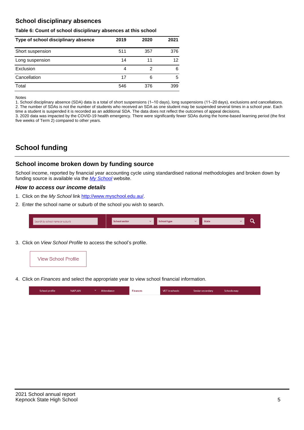# **School disciplinary absences**

#### **Table 6: Count of school disciplinary absences at this school**

| Type of school disciplinary absence | 2019 | 2020 | 2021 |
|-------------------------------------|------|------|------|
| Short suspension                    | 511  | 357  | 376  |
| Long suspension                     | 14   | 11   | 12   |
| Exclusion                           | 4    | 2    | 6    |
| Cancellation                        | 17   | 6    | 5    |
| Total                               | 546  | 376  | 399  |

#### Notes

1. School disciplinary absence (SDA) data is a total of short suspensions (1–10 days), long suspensions (11–20 days), exclusions and cancellations. 2. The number of SDAs is not the number of students who received an SDA as one student may be suspended several times in a school year. Each time a student is suspended it is recorded as an additional SDA. The data does not reflect the outcomes of appeal decisions.

3. 2020 data was impacted by the COVID-19 health emergency. There were significantly fewer SDAs during the home-based learning period (the first five weeks of Term 2) compared to other years.

# **School funding**

## **School income broken down by funding source**

School income, reported by financial year accounting cycle using standardised national methodologies and broken down by funding source is available via the [My School](http://www.myschool.edu.au/) website.

### **How to access our income details**

- 1. Click on the My School link <http://www.myschool.edu.au/>.
- 2. Enter the school name or suburb of the school you wish to search.

| Search by school name or suburb | <b>School sector</b> | School type | <b>State</b> |  |
|---------------------------------|----------------------|-------------|--------------|--|
|                                 |                      |             |              |  |

3. Click on View School Profile to access the school's profile.



4. Click on Finances and select the appropriate year to view school financial information.

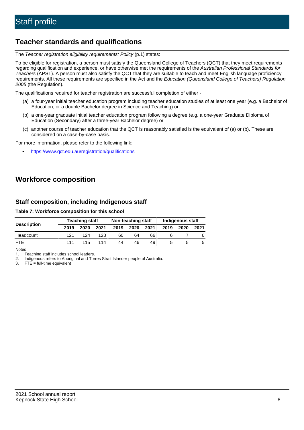# **Teacher standards and qualifications**

The Teacher registration eligibility requirements: Policy (p.1) states:

To be eligible for registration, a person must satisfy the Queensland College of Teachers (QCT) that they meet requirements regarding qualification and experience, or have otherwise met the requirements of the Australian Professional Standards for Teachers (APST). A person must also satisfy the QCT that they are suitable to teach and meet English language proficiency requirements. All these requirements are specified in the Act and the Education (Queensland College of Teachers) Regulation 2005 (the Regulation).

The qualifications required for teacher registration are successful completion of either -

- (a) a four-year initial teacher education program including teacher education studies of at least one year (e.g. a Bachelor of Education, or a double Bachelor degree in Science and Teaching) or
- (b) a one-year graduate initial teacher education program following a degree (e.g. a one-year Graduate Diploma of Education (Secondary) after a three-year Bachelor degree) or
- (c) another course of teacher education that the QCT is reasonably satisfied is the equivalent of (a) or (b). These are considered on a case-by-case basis.

For more information, please refer to the following link:

• <https://www.qct.edu.au/registration/qualifications>

# **Workforce composition**

## **Staff composition, including Indigenous staff**

### **Table 7: Workforce composition for this school**

|                    | <b>Teaching staff</b> |      |      | Non-teaching staff |      |      | Indigenous staff |      |      |
|--------------------|-----------------------|------|------|--------------------|------|------|------------------|------|------|
| <b>Description</b> | 2019                  | 2020 | 2021 | 2019               | 2020 | 2021 | 2019             | 2020 | 2021 |
| Headcount          | 121                   | 124  | 123  | 60                 | 64   | 66   |                  |      |      |
| <b>FTF</b>         | 111                   | 115  | 114  | 44                 | 46   | 49   |                  |      |      |

Notes

1. Teaching staff includes school leaders.

2. Indigenous refers to Aboriginal and Torres Strait Islander people of Australia.

3. FTE = full-time equivalent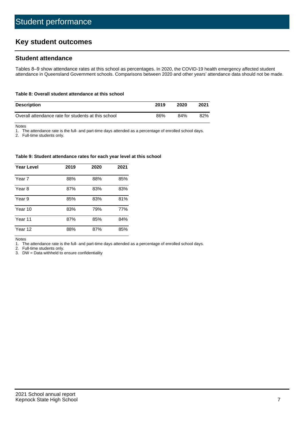# **Key student outcomes**

## **Student attendance**

Tables 8–9 show attendance rates at this school as percentages. In 2020, the COVID-19 health emergency affected student attendance in Queensland Government schools. Comparisons between 2020 and other years' attendance data should not be made.

#### **Table 8: Overall student attendance at this school**

| <b>Description</b>                                  | 2019 | 2020 | 2021 |
|-----------------------------------------------------|------|------|------|
| Overall attendance rate for students at this school | 86%  | 84%  | 82%  |

Notes

1. The attendance rate is the full- and part-time days attended as a percentage of enrolled school days.

2. Full-time students only.

#### **Table 9: Student attendance rates for each year level at this school**

| <b>Year Level</b> | 2019 | 2020 | 2021 |
|-------------------|------|------|------|
| Year 7            | 88%  | 88%  | 85%  |
| Year 8            | 87%  | 83%  | 83%  |
| Year 9            | 85%  | 83%  | 81%  |
| Year 10           | 83%  | 79%  | 77%  |
| Year 11           | 87%  | 85%  | 84%  |
| Year 12           | 88%  | 87%  | 85%  |

Notes

1. The attendance rate is the full- and part-time days attended as a percentage of enrolled school days.

2. Full-time students only.

3. DW = Data withheld to ensure confidentiality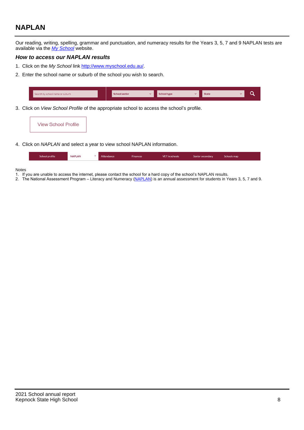# **NAPLAN**

Our reading, writing, spelling, grammar and punctuation, and numeracy results for the Years 3, 5, 7 and 9 NAPLAN tests are available via the [My School](http://www.myschool.edu.au/) website.

## **How to access our NAPLAN results**

- 1. Click on the My School link <http://www.myschool.edu.au/>.
- 2. Enter the school name or suburb of the school you wish to search.

| Search by school name or suburb | <b>School sector</b> | <b>School type</b>                        |          | <b>State</b> |  |
|---------------------------------|----------------------|-------------------------------------------|----------|--------------|--|
|                                 |                      |                                           |          |              |  |
|                                 |                      | $\sim$ $\sim$ $\sim$ $\sim$ $\sim$ $\sim$ | $\cdots$ |              |  |

3. Click on View School Profile of the appropriate school to access the school's profile.

| <b>View School Profile</b> |
|----------------------------|
|----------------------------|

4. Click on NAPLAN and select a year to view school NAPLAN information.

|  | School profile | <b>NAPLAN</b><br>$\sim$ 1 | Attendance | <b>Finances</b> | <b>VET</b> in schools | Senior secondary | Schools map |
|--|----------------|---------------------------|------------|-----------------|-----------------------|------------------|-------------|
|--|----------------|---------------------------|------------|-----------------|-----------------------|------------------|-------------|

#### Notes

- 1. If you are unable to access the internet, please contact the school for a hard copy of the school's NAPLAN results.
- 2. The National Assessment Program Literacy and Numeracy ([NAPLAN\)](http://www.nap.edu.au/naplan) is an annual assessment for students in Years 3, 5, 7 and 9.